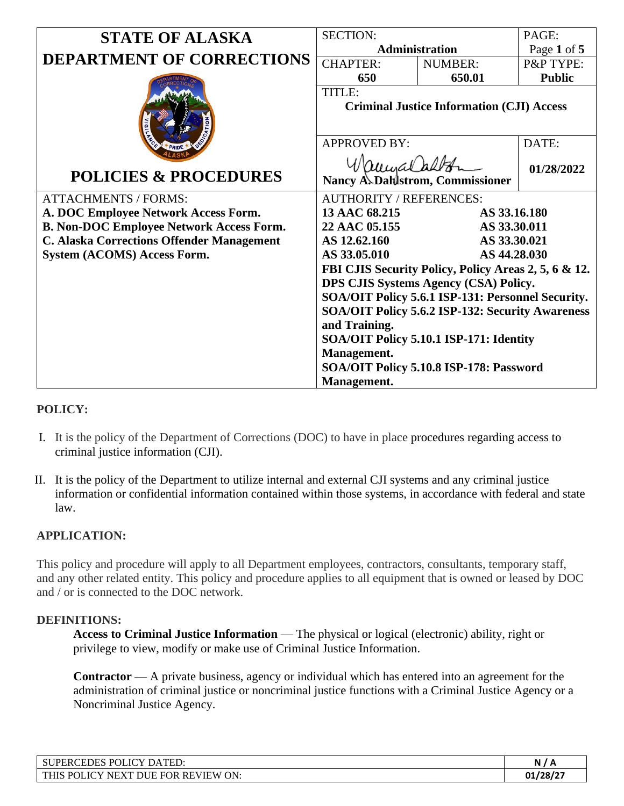| <b>STATE OF ALASKA</b>                           | <b>SECTION:</b>                                        |                | PAGE:         |
|--------------------------------------------------|--------------------------------------------------------|----------------|---------------|
|                                                  | Administration                                         |                | Page 1 of 5   |
| <b>DEPARTMENT OF CORRECTIONS</b>                 | <b>CHAPTER:</b>                                        | <b>NUMBER:</b> | P&P TYPE:     |
|                                                  | 650                                                    | 650.01         | <b>Public</b> |
|                                                  | TITLE:                                                 |                |               |
|                                                  | <b>Criminal Justice Information (CJI) Access</b>       |                |               |
|                                                  |                                                        |                |               |
|                                                  | <b>APPROVED BY:</b>                                    |                | DATE:         |
|                                                  |                                                        |                |               |
| <b>POLICIES &amp; PROCEDURES</b>                 | Nancy A. Dahlstrom, Commissioner                       |                | 01/28/2022    |
| <b>ATTACHMENTS / FORMS:</b>                      | <b>AUTHORITY / REFERENCES:</b>                         |                |               |
| A. DOC Employee Network Access Form.             | 13 AAC 68.215<br>AS 33.16.180                          |                |               |
| <b>B. Non-DOC Employee Network Access Form.</b>  | 22 AAC 05.155<br>AS 33.30.011                          |                |               |
| <b>C. Alaska Corrections Offender Management</b> | AS 12.62.160                                           | AS 33.30.021   |               |
| <b>System (ACOMS) Access Form.</b>               | AS 33.05.010<br>AS 44.28.030                           |                |               |
|                                                  | FBI CJIS Security Policy, Policy Areas 2, 5, 6 & 12.   |                |               |
|                                                  | DPS CJIS Systems Agency (CSA) Policy.                  |                |               |
|                                                  | SOA/OIT Policy 5.6.1 ISP-131: Personnel Security.      |                |               |
|                                                  | SOA/OIT Policy 5.6.2 ISP-132: Security Awareness       |                |               |
|                                                  | and Training.                                          |                |               |
|                                                  | SOA/OIT Policy 5.10.1 ISP-171: Identity                |                |               |
|                                                  | Management.<br>SOA/OIT Policy 5.10.8 ISP-178: Password |                |               |
|                                                  |                                                        |                |               |
|                                                  | Management.                                            |                |               |

# **POLICY:**

- I. It is the policy of the Department of Corrections (DOC) to have in place procedures regarding access to criminal justice information (CJI).
- II. It is the policy of the Department to utilize internal and external CJI systems and any criminal justice information or confidential information contained within those systems, in accordance with federal and state law.

## **APPLICATION:**

This policy and procedure will apply to all Department employees, contractors, consultants, temporary staff, and any other related entity. This policy and procedure applies to all equipment that is owned or leased by DOC and / or is connected to the DOC network.

#### **DEFINITIONS:**

**Access to Criminal Justice Information** — The physical or logical (electronic) ability, right or privilege to view, modify or make use of Criminal Justice Information.

**Contractor** — A private business, agency or individual which has entered into an agreement for the administration of criminal justice or noncriminal justice functions with a Criminal Justice Agency or a Noncriminal Justice Agency.

| POLICY DATED:<br><b>CEDES</b><br><b>SUPERC</b>                         | N١<br>n     |
|------------------------------------------------------------------------|-------------|
| REVIEW ON:<br>. FOR<br><b>DUE</b><br><b>POLICY NEXT</b><br><b>THIS</b> | $01/28/2^-$ |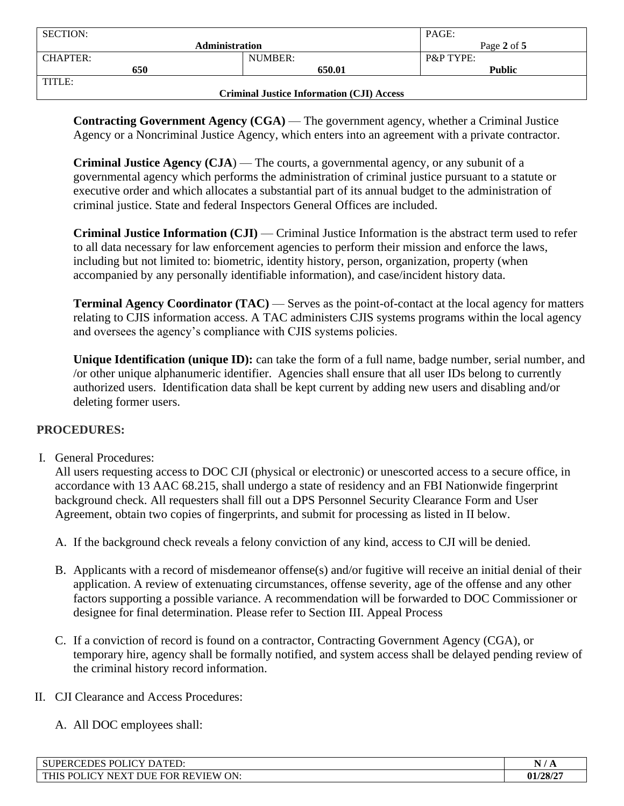| <b>SECTION:</b>                                  |                       | PAGE:                |
|--------------------------------------------------|-----------------------|----------------------|
|                                                  | <b>Administration</b> | Page 2 of 5          |
| <b>CHAPTER:</b>                                  | NUMBER:               | <b>P&amp;P TYPE:</b> |
| 650                                              | 650.01                | <b>Public</b>        |
| TITLE:                                           |                       |                      |
| <b>Criminal Justice Information (CJI) Access</b> |                       |                      |

**Contracting Government Agency (CGA)** — The government agency, whether a Criminal Justice Agency or a Noncriminal Justice Agency, which enters into an agreement with a private contractor.

**Criminal Justice Agency (CJA**) — The courts, a governmental agency, or any subunit of a governmental agency which performs the administration of criminal justice pursuant to a statute or executive order and which allocates a substantial part of its annual budget to the administration of criminal justice. State and federal Inspectors General Offices are included.

**Criminal Justice Information (CJI)** — Criminal Justice Information is the abstract term used to refer to all data necessary for law enforcement agencies to perform their mission and enforce the laws, including but not limited to: biometric, identity history, person, organization, property (when accompanied by any personally identifiable information), and case/incident history data.

**Terminal Agency Coordinator (TAC) — Serves as the point-of-contact at the local agency for matters** relating to CJIS information access. A TAC administers CJIS systems programs within the local agency and oversees the agency's compliance with CJIS systems policies.

**Unique Identification (unique ID):** can take the form of a full name, badge number, serial number, and /or other unique alphanumeric identifier. Agencies shall ensure that all user IDs belong to currently authorized users. Identification data shall be kept current by adding new users and disabling and/or deleting former users.

# **PROCEDURES:**

I. General Procedures:

All users requesting access to DOC CJI (physical or electronic) or unescorted access to a secure office, in accordance with 13 AAC 68.215, shall undergo a state of residency and an FBI Nationwide fingerprint background check. All requesters shall fill out a DPS Personnel Security Clearance Form and User Agreement, obtain two copies of fingerprints, and submit for processing as listed in II below.

- A. If the background check reveals a felony conviction of any kind, access to CJI will be denied.
- B. Applicants with a record of misdemeanor offense(s) and/or fugitive will receive an initial denial of their application. A review of extenuating circumstances, offense severity, age of the offense and any other factors supporting a possible variance. A recommendation will be forwarded to DOC Commissioner or designee for final determination. Please refer to Section III. Appeal Process
- C. If a conviction of record is found on a contractor, Contracting Government Agency (CGA), or temporary hire, agency shall be formally notified, and system access shall be delayed pending review of the criminal history record information.
- II. CJI Clearance and Access Procedures:
	- A. All DOC employees shall:

| <b>SUPERCEDES POT</b><br><b>ICY DATED.</b><br>⊥IU×                                      | N.<br>- 44 |
|-----------------------------------------------------------------------------------------|------------|
| <b>POLICY</b><br>ON:<br><b>FOR REVIEW</b><br><b>DUE F</b><br><b>THIS</b><br><b>NEXT</b> | 01/28/27   |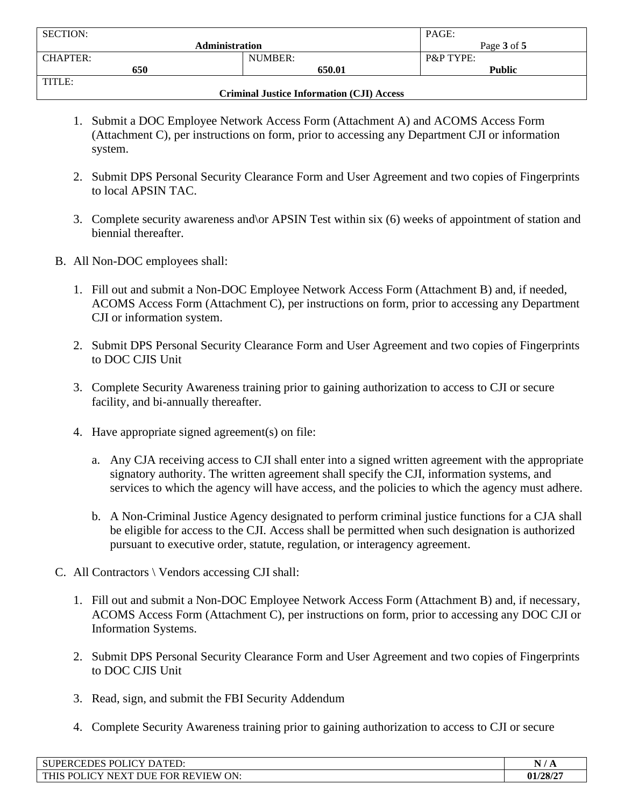| <b>SECTION:</b>                                  |         | PAGE:                |
|--------------------------------------------------|---------|----------------------|
| <b>Administration</b>                            |         | Page 3 of 5          |
| <b>CHAPTER:</b>                                  | NUMBER: | <b>P&amp;P TYPE:</b> |
| 650                                              | 650.01  | <b>Public</b>        |
| TITLE:                                           |         |                      |
| <b>Criminal Justice Information (CJI) Access</b> |         |                      |

- 1. Submit a DOC Employee Network Access Form (Attachment A) and ACOMS Access Form (Attachment C), per instructions on form, prior to accessing any Department CJI or information system.
- 2. Submit DPS Personal Security Clearance Form and User Agreement and two copies of Fingerprints to local APSIN TAC.
- 3. Complete security awareness and\or APSIN Test within six (6) weeks of appointment of station and biennial thereafter.
- B. All Non-DOC employees shall:
	- 1. Fill out and submit a Non-DOC Employee Network Access Form (Attachment B) and, if needed, ACOMS Access Form (Attachment C), per instructions on form, prior to accessing any Department CJI or information system.
	- 2. Submit DPS Personal Security Clearance Form and User Agreement and two copies of Fingerprints to DOC CJIS Unit
	- 3. Complete Security Awareness training prior to gaining authorization to access to CJI or secure facility, and bi-annually thereafter.
	- 4. Have appropriate signed agreement(s) on file:
		- a. Any CJA receiving access to CJI shall enter into a signed written agreement with the appropriate signatory authority. The written agreement shall specify the CJI, information systems, and services to which the agency will have access, and the policies to which the agency must adhere.
		- b. A Non-Criminal Justice Agency designated to perform criminal justice functions for a CJA shall be eligible for access to the CJI. Access shall be permitted when such designation is authorized pursuant to executive order, statute, regulation, or interagency agreement.
- C. All Contractors \ Vendors accessing CJI shall:
	- 1. Fill out and submit a Non-DOC Employee Network Access Form (Attachment B) and, if necessary, ACOMS Access Form (Attachment C), per instructions on form, prior to accessing any DOC CJI or Information Systems.
	- 2. Submit DPS Personal Security Clearance Form and User Agreement and two copies of Fingerprints to DOC CJIS Unit
	- 3. Read, sign, and submit the FBI Security Addendum
	- 4. Complete Security Awareness training prior to gaining authorization to access to CJI or secure

| POLICY DATED:<br><b>IPERCEDES</b><br>-SU                                                                                                        | N.<br>.  |
|-------------------------------------------------------------------------------------------------------------------------------------------------|----------|
| <b>REVIEW ON:</b><br><b>FOR</b><br><b>THIC</b><br>P <sub>0</sub><br>$T\cap V$<br>$\mathbf{H}$<br>-----<br>E וכי<br>ЛC<br>NH<br>UL.<br>$\lambda$ | 01/28/2' |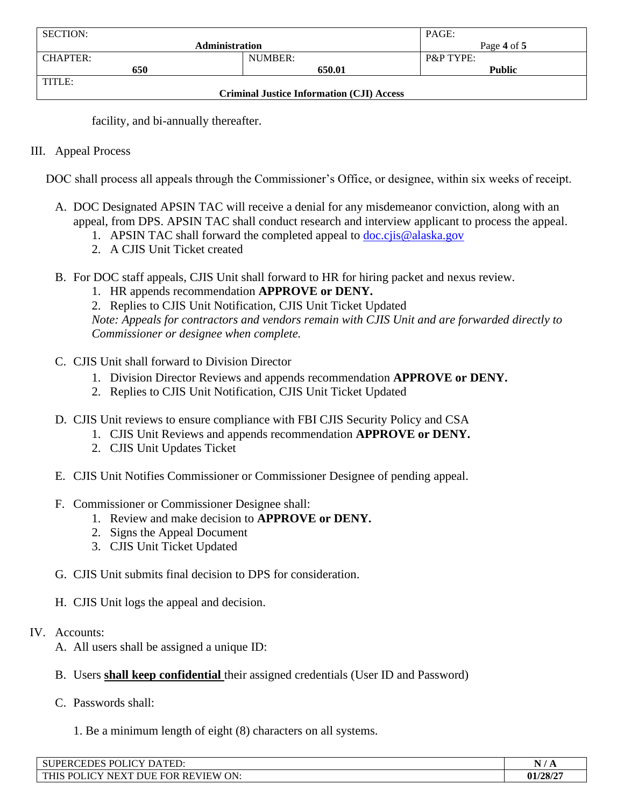| <b>SECTION:</b>                                  |                       | PAGE:                |
|--------------------------------------------------|-----------------------|----------------------|
|                                                  | <b>Administration</b> | Page 4 of 5          |
| <b>CHAPTER:</b>                                  | NUMBER:               | <b>P&amp;P TYPE:</b> |
| 650                                              | 650.01                | <b>Public</b>        |
| TITLE:                                           |                       |                      |
| <b>Criminal Justice Information (CJI) Access</b> |                       |                      |

facility, and bi-annually thereafter.

### III. Appeal Process

DOC shall process all appeals through the Commissioner's Office, or designee, within six weeks of receipt.

- A. DOC Designated APSIN TAC will receive a denial for any misdemeanor conviction, along with an appeal, from DPS. APSIN TAC shall conduct research and interview applicant to process the appeal.
	- 1. APSIN TAC shall forward the completed appeal to  $\frac{d}{d}$  [doc.cjis@alaska.gov](mailto:doc.cjis@alaska.gov)
	- 2. A CJIS Unit Ticket created
- B. For DOC staff appeals, CJIS Unit shall forward to HR for hiring packet and nexus review.
	- 1. HR appends recommendation **APPROVE or DENY.**
	- 2. Replies to CJIS Unit Notification, CJIS Unit Ticket Updated

*Note: Appeals for contractors and vendors remain with CJIS Unit and are forwarded directly to Commissioner or designee when complete.*

- C. CJIS Unit shall forward to Division Director
	- 1. Division Director Reviews and appends recommendation **APPROVE or DENY.**
	- 2. Replies to CJIS Unit Notification, CJIS Unit Ticket Updated
- D. CJIS Unit reviews to ensure compliance with FBI CJIS Security Policy and CSA
	- 1. CJIS Unit Reviews and appends recommendation **APPROVE or DENY.**
	- 2. CJIS Unit Updates Ticket
- E. CJIS Unit Notifies Commissioner or Commissioner Designee of pending appeal.
- F. Commissioner or Commissioner Designee shall:
	- 1. Review and make decision to **APPROVE or DENY.**
	- 2. Signs the Appeal Document
	- 3. CJIS Unit Ticket Updated
- G. CJIS Unit submits final decision to DPS for consideration.
- H. CJIS Unit logs the appeal and decision.

### IV. Accounts:

- A. All users shall be assigned a unique ID:
- B. Users **shall keep confidential** their assigned credentials (User ID and Password)
- C. Passwords shall:
	- 1. Be a minimum length of eight (8) characters on all systems.

| <b>TOTT</b><br>$\overline{P}$ $\cap$ $\overline{I}$<br>$\mathbf{L}$<br>TED:<br>SU.<br>4 DE Y<br>м<br><b>DA</b><br><b>ERCEDES</b><br><b>VLIC</b><br>$\overline{\phantom{a}}$ | $\overline{\phantom{a}}$<br>ב⊿ ו |
|-----------------------------------------------------------------------------------------------------------------------------------------------------------------------------|----------------------------------|
| ON:<br><b>THIS</b><br><b>REVIEW</b><br>$\mathbf{v}$<br><b>POI</b><br>л<br>$\cdot$<br>OR<br>NE<br>H.<br>⊩                                                                    | 01/28/2                          |